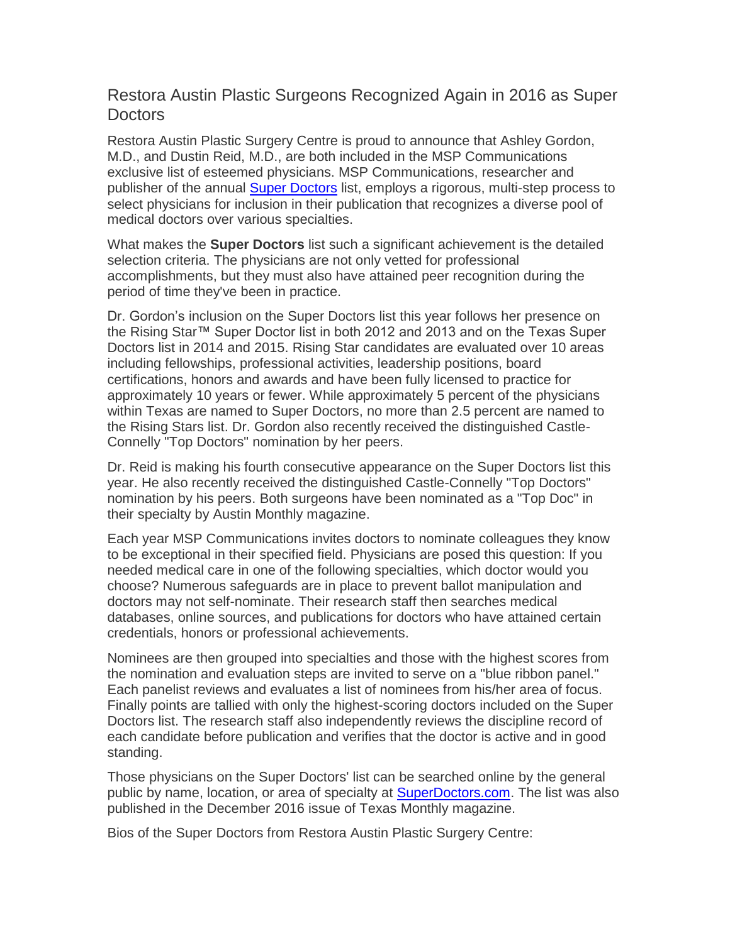## Restora Austin Plastic Surgeons Recognized Again in 2016 as Super Doctors

Restora Austin Plastic Surgery Centre is proud to announce that Ashley Gordon, M.D., and Dustin Reid, M.D., are both included in the MSP Communications exclusive list of esteemed physicians. MSP Communications, researcher and publisher of the annual [Super Doctors](http://www.superdoctors.com/texas/Austin/Plastic-Surgery/browse) list, employs a rigorous, multi-step process to select physicians for inclusion in their publication that recognizes a diverse pool of medical doctors over various specialties.

What makes the **Super Doctors** list such a significant achievement is the detailed selection criteria. The physicians are not only vetted for professional accomplishments, but they must also have attained peer recognition during the period of time they've been in practice.

Dr. Gordon's inclusion on the Super Doctors list this year follows her presence on the Rising Star™ Super Doctor list in both 2012 and 2013 and on the Texas Super Doctors list in 2014 and 2015. Rising Star candidates are evaluated over 10 areas including fellowships, professional activities, leadership positions, board certifications, honors and awards and have been fully licensed to practice for approximately 10 years or fewer. While approximately 5 percent of the physicians within Texas are named to Super Doctors, no more than 2.5 percent are named to the Rising Stars list. Dr. Gordon also recently received the distinguished Castle-Connelly "Top Doctors" nomination by her peers.

Dr. Reid is making his fourth consecutive appearance on the Super Doctors list this year. He also recently received the distinguished Castle-Connelly "Top Doctors" nomination by his peers. Both surgeons have been nominated as a "Top Doc" in their specialty by Austin Monthly magazine.

Each year MSP Communications invites doctors to nominate colleagues they know to be exceptional in their specified field. Physicians are posed this question: If you needed medical care in one of the following specialties, which doctor would you choose? Numerous safeguards are in place to prevent ballot manipulation and doctors may not self-nominate. Their research staff then searches medical databases, online sources, and publications for doctors who have attained certain credentials, honors or professional achievements.

Nominees are then grouped into specialties and those with the highest scores from the nomination and evaluation steps are invited to serve on a "blue ribbon panel." Each panelist reviews and evaluates a list of nominees from his/her area of focus. Finally points are tallied with only the highest-scoring doctors included on the Super Doctors list. The research staff also independently reviews the discipline record of each candidate before publication and verifies that the doctor is active and in good standing.

Those physicians on the Super Doctors' list can be searched online by the general public by name, location, or area of specialty at [SuperDoctors.com.](http://www.superdoctors.com/texas/Austin/Plastic-Surgery/browse) The list was also published in the December 2016 issue of Texas Monthly magazine.

Bios of the Super Doctors from Restora Austin Plastic Surgery Centre: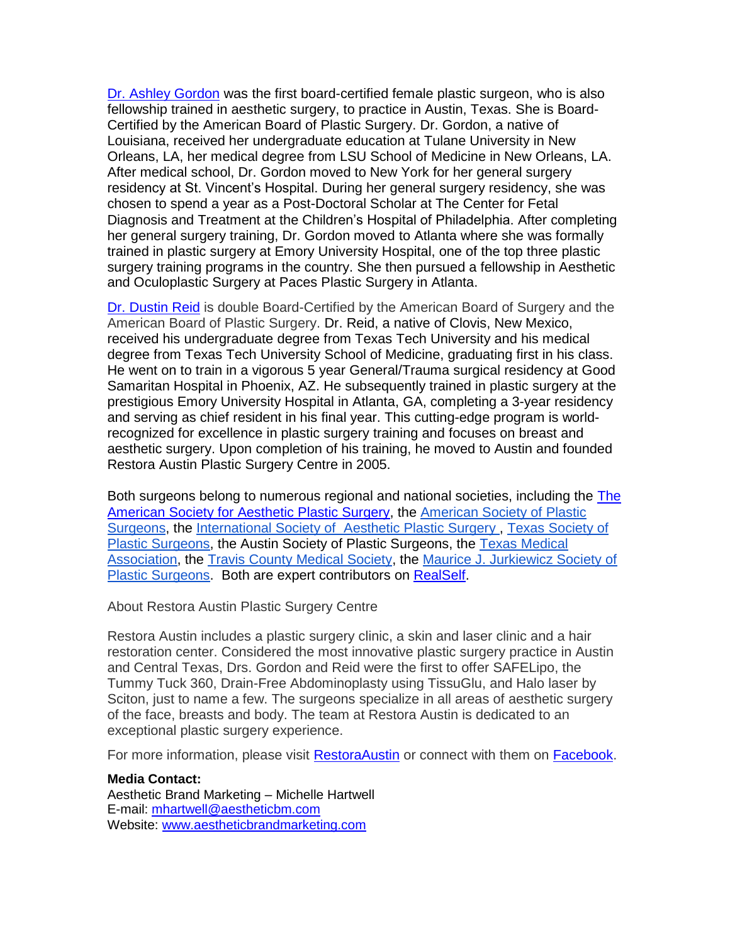[Dr. Ashley Gordon](https://www.restoraaustin.com/our-practice/meet-our-surgeons/female-plastic-surgeon-austin-tx/) was the first board-certified female plastic surgeon, who is also fellowship trained in aesthetic surgery, to practice in Austin, Texas. She is Board-Certified by the American Board of Plastic Surgery. Dr. Gordon, a native of Louisiana, received her undergraduate education at Tulane University in New Orleans, LA, her medical degree from LSU School of Medicine in New Orleans, LA. After medical school, Dr. Gordon moved to New York for her general surgery residency at St. Vincent's Hospital. During her general surgery residency, she was chosen to spend a year as a Post-Doctoral Scholar at The Center for Fetal Diagnosis and Treatment at the Children's Hospital of Philadelphia. After completing her general surgery training, Dr. Gordon moved to Atlanta where she was formally trained in plastic surgery at Emory University Hospital, one of the top three plastic surgery training programs in the country. She then pursued a fellowship in Aesthetic and Oculoplastic Surgery at Paces Plastic Surgery in Atlanta.

Dr. [Dustin Reid](https://www.restoraaustin.com/our-practice/meet-our-surgeons/plastic-surgeon-austin-tx/) is double Board-Certified by the American Board of Surgery and the American Board of Plastic Surgery. Dr. Reid, a native of Clovis, New Mexico, received his undergraduate degree from Texas Tech University and his medical degree from Texas Tech University School of Medicine, graduating first in his class. He went on to train in a vigorous 5 year General/Trauma surgical residency at Good Samaritan Hospital in Phoenix, AZ. He subsequently trained in plastic surgery at the prestigious Emory University Hospital in Atlanta, GA, completing a 3-year residency and serving as chief resident in his final year. This cutting-edge program is worldrecognized for excellence in plastic surgery training and focuses on breast and aesthetic surgery. Upon completion of his training, he moved to Austin and founded Restora Austin Plastic Surgery Centre in 2005.

Both surgeons belong to numerous regional and national societies, including the [The](http://www.surgery.org/)  [American Society for Aesthetic Plastic Surgery,](http://www.surgery.org/) the [American Society of Plastic](http://www.plasticsurgery.org/Patients_and_Consumers.html)  [Surgeons,](http://www.plasticsurgery.org/Patients_and_Consumers.html) the [International Society of Aesthetic Plastic Surgery ,](http://www.isaps.org/) [Texas Society of](http://www.tsps.net/)  [Plastic Surgeons,](http://www.tsps.net/) the Austin Society of Plastic Surgeons, the [Texas Medical](http://www.texmed.org/Default.aspx)  [Association,](http://www.texmed.org/Default.aspx) the [Travis County Medical Society,](http://www.tcms.com/about_us/) the [Maurice J. Jurkiewicz Society of](http://www.jurkiewiczsociety.org/J-Society/Welcome.html)  [Plastic Surgeons.](http://www.jurkiewiczsociety.org/J-Society/Welcome.html) Both are expert contributors on [RealSelf.](https://www.realself.com/)

About Restora Austin Plastic Surgery Centre

Restora Austin includes a plastic surgery clinic, a skin and laser clinic and a hair restoration center. Considered the most innovative plastic surgery practice in Austin and Central Texas, Drs. Gordon and Reid were the first to offer SAFELipo, the Tummy Tuck 360, Drain-Free Abdominoplasty using TissuGlu, and Halo laser by Sciton, just to name a few. The surgeons specialize in all areas of aesthetic surgery of the face, breasts and body. The team at Restora Austin is dedicated to an exceptional plastic surgery experience.

For more information, please visit [RestoraAustin](https://www.restoraaustin.com/) or connect with them on [Facebook.](https://www.facebook.com/RestoraAustin/)

**Media Contact:** Aesthetic Brand Marketing – Michelle Hartwell E-mail: [mhartwell@aestheticbm.com](mailto:mhartwell@aestheticbm.com) Website: [www.aestheticbrandmarketing.com](http://www.aestheticbrandmarketing.com/)